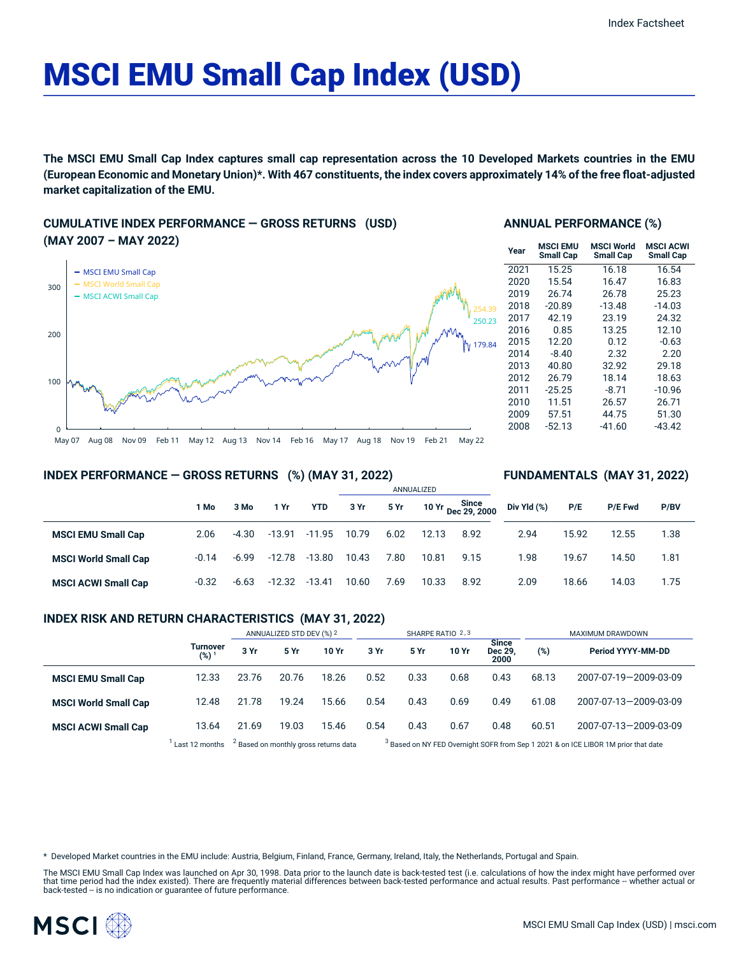# MSCI EMU Small Cap Index (USD)

**The MSCI EMU Small Cap Index captures small cap representation across the 10 Developed Markets countries in the EMU** (European Economic and Monetary Union)\*. With 467 constituents, the index covers approximately 14% of the free float-adjusted **market capitalization of the EMU.**

**CUMULATIVE INDEX PERFORMANCE — GROSS RETURNS (USD) (MAY 2007 – MAY 2022)**



# **ANNUAL PERFORMANCE (%)**

| Year | <b>MSCI EMU</b><br><b>Small Cap</b> | <b>MSCI World</b><br><b>Small Cap</b> | <b>MSCI ACWI</b><br><b>Small Cap</b> |
|------|-------------------------------------|---------------------------------------|--------------------------------------|
| 2021 | 15.25                               | 16.18                                 | 16.54                                |
| 2020 | 15.54                               | 16.47                                 | 16.83                                |
| 2019 | 26.74                               | 26.78                                 | 25.23                                |
| 2018 | $-20.89$                            | $-13.48$                              | $-14.03$                             |
| 2017 | 42.19                               | 23.19                                 | 24.32                                |
| 2016 | 0.85                                | 13.25                                 | 12.10                                |
| 2015 | 12.20                               | 0.12                                  | $-0.63$                              |
| 2014 | $-8.40$                             | 2.32                                  | 2.20                                 |
| 2013 | 40.80                               | 32.92                                 | 29.18                                |
| 2012 | 26.79                               | 18.14                                 | 18.63                                |
| 2011 | $-25.25$                            | $-8.71$                               | $-10.96$                             |
| 2010 | 11.51                               | 26.57                                 | 26.71                                |
| 2009 | 57.51                               | 44.75                                 | 51.30                                |
| 2008 | $-52.13$                            | $-41.60$                              | $-43.42$                             |

#### **INDEX PERFORMANCE — GROSS RETURNS (%) (MAY 31, 2022)**

# **FUNDAMENTALS (MAY 31, 2022)**

|                             | l Mo    | 3 Mo    | 1 Yr     | <b>YTD</b>     | 3 Yr  | 5 Yr |       | 10 Yr Since<br>Dec 29, 2000 | Div Yld (%) | P/E   | <b>P/E Fwd</b> | P/BV |  |
|-----------------------------|---------|---------|----------|----------------|-------|------|-------|-----------------------------|-------------|-------|----------------|------|--|
| <b>MSCI EMU Small Cap</b>   | 2.06    | $-4.30$ | $-13.91$ | $-11.95$ 10.79 |       | 6.02 | 12.13 | 8.92                        | 2.94        | 15.92 | 12.55          | 1.38 |  |
| <b>MSCI World Small Cap</b> | $-0.14$ | $-6.99$ | $-12.78$ | -13.80         | 10.43 | 7.80 | 10.81 | 9.15                        | 1.98        | 19.67 | 14.50          | 1.81 |  |
| <b>MSCI ACWI Small Cap</b>  | $-0.32$ | $-6.63$ | $-12.32$ | -13.41         | 10.60 | 7.69 | 10.33 | 8.92                        | 2.09        | 18.66 | 14.03          | 1.75 |  |

ANNUALIZED

### **INDEX RISK AND RETURN CHARACTERISTICS (MAY 31, 2022)**

|                             |                              | ANNUALIZED STD DEV (%) 2                         |       | SHARPE RATIO 2,3 |                                                                                               |             |       | <b>MAXIMUM DRAWDOWN</b>               |       |                       |
|-----------------------------|------------------------------|--------------------------------------------------|-------|------------------|-----------------------------------------------------------------------------------------------|-------------|-------|---------------------------------------|-------|-----------------------|
|                             | Turnover<br>(%) <sup>1</sup> | 3 Yr                                             | 5 Yr  | 10 Yr            | 3 Yr                                                                                          | <b>5 Yr</b> | 10 Yr | <b>Since</b><br><b>Dec 29</b><br>2000 | (%)   | Period YYYY-MM-DD     |
| <b>MSCI EMU Small Cap</b>   | 12.33                        | 23.76                                            | 20.76 | 18.26            | 0.52                                                                                          | 0.33        | 0.68  | 0.43                                  | 68.13 | 2007-07-19-2009-03-09 |
| <b>MSCI World Small Cap</b> | 12.48                        | 21.78                                            | 19.24 | 15.66            | 0.54                                                                                          | 0.43        | 0.69  | 0.49                                  | 61.08 | 2007-07-13-2009-03-09 |
| <b>MSCI ACWI Small Cap</b>  | 13.64                        | 21.69                                            | 19.03 | 15.46            | 0.54                                                                                          | 0.43        | 0.67  | 0.48                                  | 60.51 | 2007-07-13-2009-03-09 |
|                             | Last 12 months               | <sup>2</sup> Based on monthly gross returns data |       |                  | <sup>3</sup> Based on NY FED Overnight SOFR from Sep 1 2021 & on ICE LIBOR 1M prior that date |             |       |                                       |       |                       |

\* Developed Market countries in the EMU include: Austria, Belgium, Finland, France, Germany, Ireland, Italy, the Netherlands, Portugal and Spain.

The MSCI EMU Small Cap Index was launched on Apr 30, 1998. Data prior to the launch date is back-tested test (i.e. calculations of how the index might have performed over that time period had the index existed). There are frequently material differences between back-tested performance and actual results. Past performance -- whether actual or<br>back-tested -- is no indication or guarantee of f

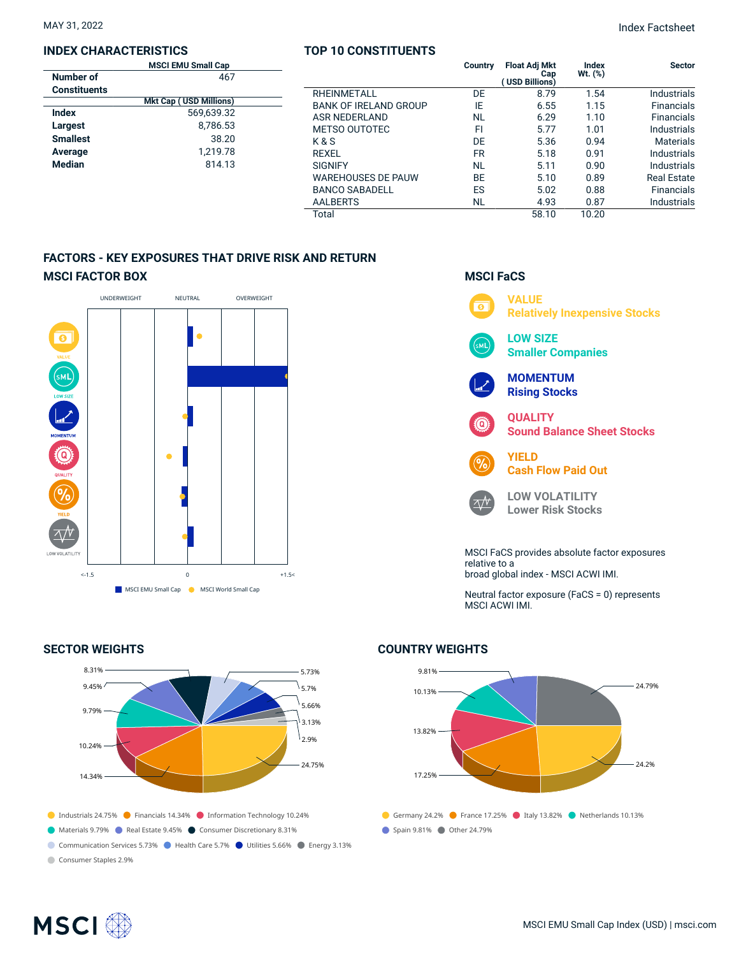# **INDEX CHARACTERISTICS**

|                     | <b>MSCI EMU Small Cap</b>     |  |
|---------------------|-------------------------------|--|
| Number of           | 467                           |  |
| <b>Constituents</b> |                               |  |
|                     | <b>Mkt Cap (USD Millions)</b> |  |
| Index               | 569.639.32                    |  |
| Largest             | 8.786.53                      |  |
| <b>Smallest</b>     | 38.20                         |  |
| Average             | 1,219.78                      |  |
| <b>Median</b>       | 814.13                        |  |
|                     |                               |  |

# **TOP 10 CONSTITUENTS**

|                              | Country | <b>Float Adj Mkt</b><br>Cap<br>( USD Billions) | Index<br>$Wt.$ $(\%)$ | <b>Sector</b>     |
|------------------------------|---------|------------------------------------------------|-----------------------|-------------------|
| <b>RHFINMFTALL</b>           | DF      | 8.79                                           | 1.54                  | Industrials       |
| <b>BANK OF IRELAND GROUP</b> | IF      | 6.55                                           | 1.15                  | <b>Financials</b> |
| ASR NEDERI AND               | NL      | 6.29                                           | 1.10                  | <b>Financials</b> |
| <b>METSO OUTOTEC</b>         | FI      | 5.77                                           | 1.01                  | Industrials       |
| K&S                          | DE      | 5.36                                           | 0.94                  | <b>Materials</b>  |
| RFXFI                        | FR      | 5.18                                           | 0.91                  | Industrials       |
| <b>SIGNIFY</b>               | NL      | 5.11                                           | 0.90                  | Industrials       |
| <b>WAREHOUSES DE PAUW</b>    | ВE      | 5.10                                           | 0.89                  | Real Estate       |
| <b>BANCO SABADELL</b>        | ES      | 5.02                                           | 0.88                  | <b>Financials</b> |
| <b>AALBERTS</b>              | NL      | 4.93                                           | 0.87                  | Industrials       |
| Total                        |         | 58.10                                          | 10.20                 |                   |

# **FACTORS - KEY EXPOSURES THAT DRIVE RISK AND RETURN MSCI FACTOR BOX**



# **SECTOR WEIGHTS**



# **MSCI FaCS**



Neutral factor exposure (FaCS = 0) represents MSCI ACWI IMI.

# **COUNTRY WEIGHTS**



# **MSCI**<sup></sup>